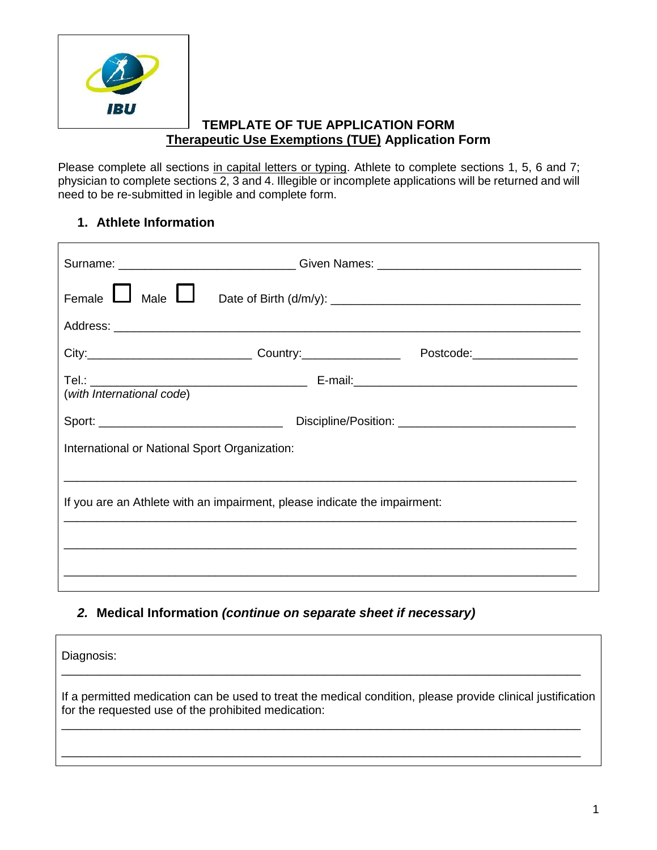

## **TEMPLATE OF TUE APPLICATION FORM Therapeutic Use Exemptions (TUE) Application Form**

Please complete all sections in capital letters or typing. Athlete to complete sections 1, 5, 6 and 7; physician to complete sections 2, 3 and 4. Illegible or incomplete applications will be returned and will need to be re-submitted in legible and complete form.

## **1. Athlete Information**

|                                                                           |  | Surname: ______________________________Given Names: ____________________________ |  |  |
|---------------------------------------------------------------------------|--|----------------------------------------------------------------------------------|--|--|
| Female $\Box$ Male $\Box$                                                 |  |                                                                                  |  |  |
|                                                                           |  |                                                                                  |  |  |
|                                                                           |  | Postcode:____________________                                                    |  |  |
|                                                                           |  |                                                                                  |  |  |
|                                                                           |  |                                                                                  |  |  |
| International or National Sport Organization:                             |  |                                                                                  |  |  |
|                                                                           |  |                                                                                  |  |  |
| If you are an Athlete with an impairment, please indicate the impairment: |  |                                                                                  |  |  |
|                                                                           |  |                                                                                  |  |  |
|                                                                           |  |                                                                                  |  |  |
|                                                                           |  |                                                                                  |  |  |

## *2.* **Medical Information** *(continue on separate sheet if necessary)*

| Diagnosis:                                                                                                                                                         |
|--------------------------------------------------------------------------------------------------------------------------------------------------------------------|
| If a permitted medication can be used to treat the medical condition, please provide clinical justification<br>for the requested use of the prohibited medication: |
|                                                                                                                                                                    |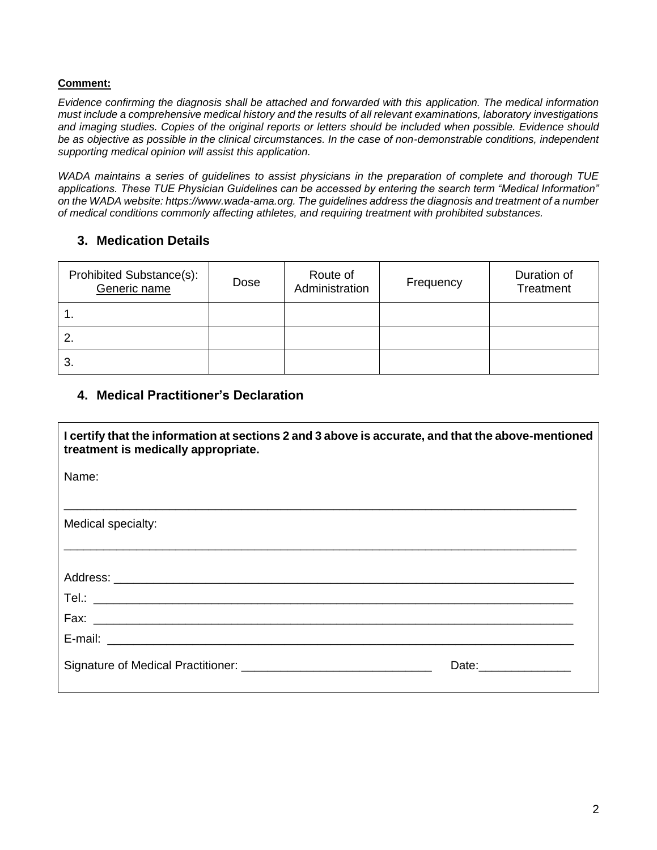#### **Comment:**

*Evidence confirming the diagnosis shall be attached and forwarded with this application. The medical information must include a comprehensive medical history and the results of all relevant examinations, laboratory investigations and imaging studies. Copies of the original reports or letters should be included when possible. Evidence should*  be as objective as possible in the clinical circumstances. In the case of non-demonstrable conditions, independent *supporting medical opinion will assist this application.*

*WADA maintains a series of guidelines to assist physicians in the preparation of complete and thorough TUE applications. These TUE Physician Guidelines can be accessed by entering the search term "Medical Information" on the WADA website: https://www.wada-ama.org. The guidelines address the diagnosis and treatment of a number of medical conditions commonly affecting athletes, and requiring treatment with prohibited substances.*

## **3. Medication Details**

| Prohibited Substance(s):<br>Generic name | Dose | Route of<br>Administration | Frequency | Duration of<br>Treatment |
|------------------------------------------|------|----------------------------|-----------|--------------------------|
|                                          |      |                            |           |                          |
| 2.                                       |      |                            |           |                          |
| 3.                                       |      |                            |           |                          |

### **4. Medical Practitioner's Declaration**

| I certify that the information at sections 2 and 3 above is accurate, and that the above-mentioned<br>treatment is medically appropriate. |  |
|-------------------------------------------------------------------------------------------------------------------------------------------|--|
| Name:                                                                                                                                     |  |
| Medical specialty:                                                                                                                        |  |
|                                                                                                                                           |  |
|                                                                                                                                           |  |
|                                                                                                                                           |  |
|                                                                                                                                           |  |
| Date: <u>Date:</u>                                                                                                                        |  |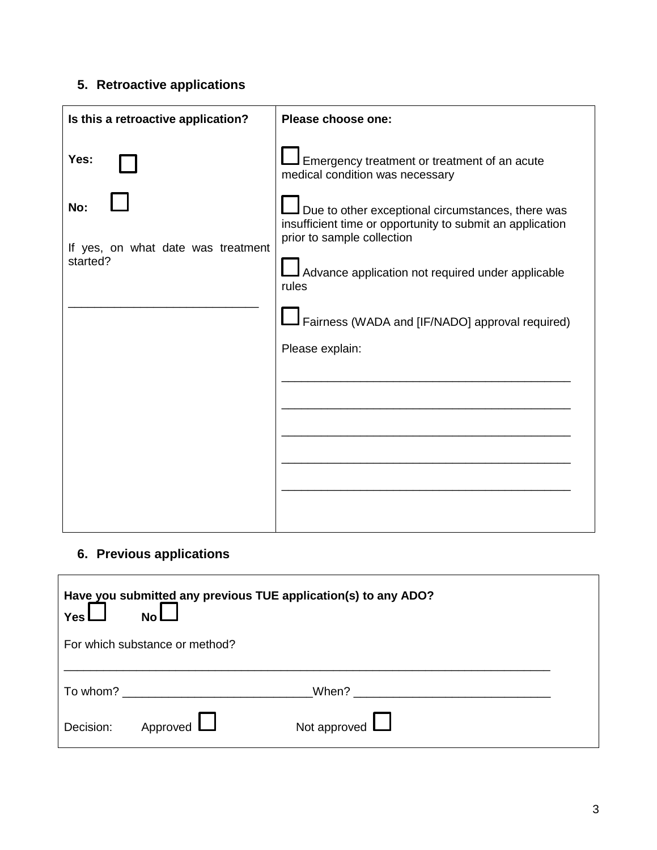# **5. Retroactive applications**

| Is this a retroactive application?                            | Please choose one:                                                                                                                                                                                                                                                                                                                                                  |
|---------------------------------------------------------------|---------------------------------------------------------------------------------------------------------------------------------------------------------------------------------------------------------------------------------------------------------------------------------------------------------------------------------------------------------------------|
| Yes:<br>No:<br>If yes, on what date was treatment<br>started? | Emergency treatment or treatment of an acute<br>medical condition was necessary<br>Due to other exceptional circumstances, there was<br>insufficient time or opportunity to submit an application<br>prior to sample collection<br>Advance application not required under applicable<br>rules<br>Fairness (WADA and [IF/NADO] approval required)<br>Please explain: |
|                                                               |                                                                                                                                                                                                                                                                                                                                                                     |

# **6. Previous applications**

| Yes l     | Have you submitted any previous TUE application(s) to any ADO?<br><b>No</b>                                     |                                                                                                                                                                                                                               |  |
|-----------|-----------------------------------------------------------------------------------------------------------------|-------------------------------------------------------------------------------------------------------------------------------------------------------------------------------------------------------------------------------|--|
|           | For which substance or method?                                                                                  |                                                                                                                                                                                                                               |  |
|           | To whom? The state of the state of the state of the state of the state of the state of the state of the state o | When? A contract the contract of the contract of the contract of the contract of the contract of the contract of the contract of the contract of the contract of the contract of the contract of the contract of the contract |  |
| Decision: | Approved $\Box$                                                                                                 | Not approved $\Box$                                                                                                                                                                                                           |  |